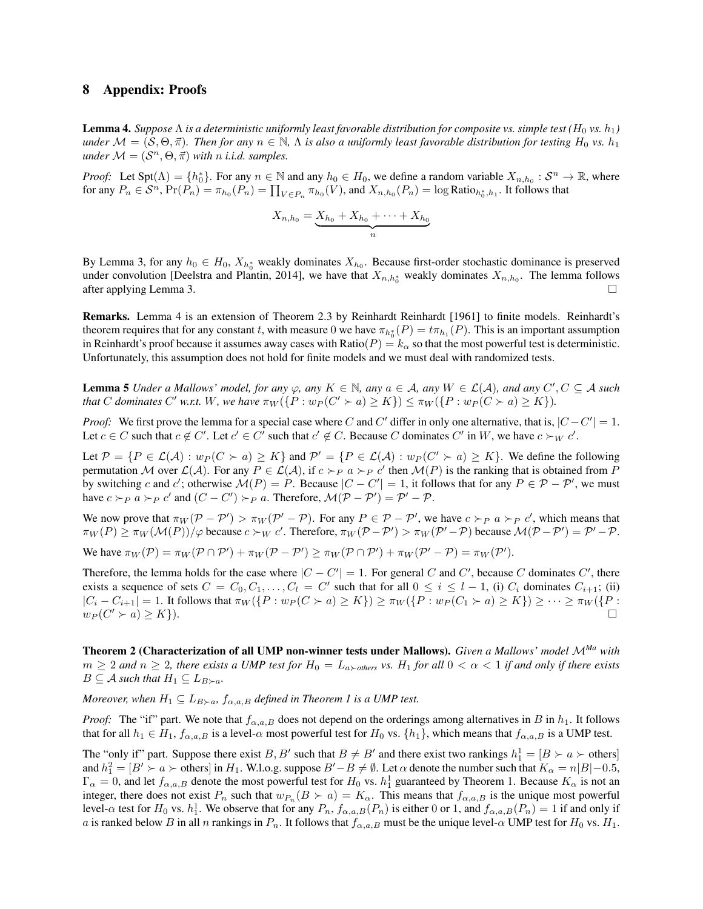## 8 Appendix: Proofs

**Lemma 4.** Suppose  $\Lambda$  is a deterministic uniformly least favorable distribution for composite vs. simple test ( $H_0$  vs.  $h_1$ ) *under*  $M = (S, \Theta, \vec{\pi})$ *. Then for any*  $n \in \mathbb{N}$ ,  $\Lambda$  is also a uniformly least favorable distribution for testing  $H_0$  vs.  $h_1$ *under*  $M = (S^n, \Theta, \vec{\pi})$  *with n i.i.d. samples.* 

*Proof:* Let  $Spt(\Lambda) = \{h_0^*\}$ . For any  $n \in \mathbb{N}$  and any  $h_0 \in H_0$ , we define a random variable  $X_{n,h_0} : S^n \to \mathbb{R}$ , where for any  $P_n \in \mathcal{S}^n$ ,  $\Pr(P_n) = \pi_{h_0}(P_n) = \prod_{V \in P_n} \pi_{h_0}(V)$ , and  $X_{n,h_0}(P_n) = \log \text{Ratio}_{h_0^*,h_1}$ . It follows that

$$
X_{n,h_0} = \underbrace{X_{h_0} + X_{h_0} + \dots + X_{h_0}}_{n}
$$

By Lemma 3, for any  $h_0 \in H_0$ ,  $X_{h_0^*}$  weakly dominates  $X_{h_0}$ . Because first-order stochastic dominance is preserved under convolution [Deelstra and Plantin, 2014], we have that  $X_{n,h_0^*}$  weakly dominates  $X_{n,h_0}$ . The lemma follows after applying Lemma 3.  $\Box$ 

Remarks. Lemma 4 is an extension of Theorem 2.3 by Reinhardt Reinhardt [1961] to finite models. Reinhardt's theorem requires that for any constant *t*, with measure 0 we have  $\pi_{h_0^*}(P) = t\pi_{h_1}(P)$ . This is an important assumption in Reinhardt's proof because it assumes away cases with Ratio( $P$ ) =  $k_{\alpha}$  so that the most powerful test is deterministic. Unfortunately, this assumption does not hold for finite models and we must deal with randomized tests.

**Lemma 5** *Under a Mallows' model, for any*  $\varphi$ , *any*  $K \in \mathbb{N}$ *, any*  $a \in A$ *, any*  $W \in \mathcal{L}(A)$ *, and any*  $C', C \subseteq A$  *such* that C dominates C' w.r.t. W, we have  $\pi_W({P:w_P(C' \succ a) \geq K}) \leq \pi_W({P:w_P(C \succ a) \geq K})$ .

*Proof:* We first prove the lemma for a special case where *C* and *C'* differ in only one alternative, that is,  $|C - C'| = 1$ . Let  $c \in C$  such that  $c \notin C'$ . Let  $c' \in C'$  such that  $c' \notin C$ . Because *C* dominates  $C'$  in W, we have  $c \succ_W c'$ .

Let  $\mathcal{P} = \{P \in \mathcal{L}(\mathcal{A}) : w_P(C \succ a) \geq K\}$  and  $\mathcal{P}' = \{P \in \mathcal{L}(\mathcal{A}) : w_P(C' \succ a) \geq K\}$ . We define the following permutation *M* over  $\mathcal{L}(\mathcal{A})$ . For any  $P \in \mathcal{L}(\mathcal{A})$ , if  $c >_P a >_P c'$  then  $\mathcal{M}(P)$  is the ranking that is obtained from *P* by switching *c* and *c'*; otherwise  $\mathcal{M}(P) = P$ . Because  $|C - C'| = 1$ , it follows that for any  $P \in \mathcal{P} - \mathcal{P}'$ , we must have  $c \succ_{P} a \succ_{P} c'$  and  $(C - C') \succ_{P} a$ . Therefore,  $\mathcal{M}(\mathcal{P} - \mathcal{P}') = \mathcal{P}' - \mathcal{P}$ .

We now prove that  $\pi_W(\mathcal{P} - \mathcal{P}') > \pi_W(\mathcal{P}' - \mathcal{P})$ . For any  $P \in \mathcal{P} - \mathcal{P}'$ , we have  $c \succ_P a \succ_P c'$ , which means that  $\pi_W(P) \ge \pi_W(\mathcal{M}(P))/\varphi$  because  $c \succ_W c'$ . Therefore,  $\pi_W(\mathcal{P} - \mathcal{P}') > \pi_W(\mathcal{P}' - \mathcal{P})$  because  $\mathcal{M}(\mathcal{P} - \mathcal{P}') = \mathcal{P}' - \mathcal{P}$ .

We have  $\pi_W(\mathcal{P}) = \pi_W(\mathcal{P} \cap \mathcal{P}') + \pi_W(\mathcal{P} - \mathcal{P}') \geq \pi_W(\mathcal{P} \cap \mathcal{P}') + \pi_W(\mathcal{P}' - \mathcal{P}) = \pi_W(\mathcal{P}').$ 

Therefore, the lemma holds for the case where  $|C - C'| = 1$ . For general *C* and *C'*, because *C* dominates *C'*, there exists a sequence of sets  $C = C_0, C_1, \ldots, C_l = C'$  such that for all  $0 \le i \le l - 1$ , (i)  $C_i$  dominates  $C_{i+1}$ ; (ii)  $|C_i - C_{i+1}| = 1$ . It follows that  $\pi_W({P : w_P(C \succ a) \ge K}) \ge \pi_W({P : w_P(C_1 \succ a) \ge K}) \ge \cdots \ge \pi_W({P : w_P(C' \succ a) \ge K})$  $w_P(C' \succ a) \geq K$ .

Theorem 2 (Characterization of all UMP non-winner tests under Mallows). *Given a Mallows' model <sup>M</sup>Ma with*  $m \geq 2$  and  $n \geq 2$ , there exists a UMP test for  $H_0 = L_{a \succ others}$  vs.  $H_1$  for all  $0 < \alpha < 1$  if and only if there exists  $B \subseteq A$  *such that*  $H_1 \subseteq L_{B \succ a}$ *.* 

*Moreover, when*  $H_1 \subseteq L_{B\succ a}$ ,  $f_{\alpha,a,B}$  *defined in Theorem 1 is a UMP test.* 

*Proof:* The "if" part. We note that  $f_{\alpha,a,B}$  does not depend on the orderings among alternatives in *B* in  $h_1$ . It follows that for all  $h_1 \in H_1$ ,  $f_{\alpha,a,B}$  is a level- $\alpha$  most powerful test for  $H_0$  vs.  $\{h_1\}$ , which means that  $f_{\alpha,a,B}$  is a UMP test.

The "only if" part. Suppose there exist *B*, *B'* such that  $B \neq B'$  and there exist two rankings  $h_1^1 = [B \succ a \succ \text{others}]$ and  $h_1^2 = [B' \succ a \succ \text{others}]$  in  $H_1$ . W.l.o.g. suppose  $B' - B \neq \emptyset$ . Let  $\alpha$  denote the number such that  $K_\alpha = n|B| - 0.5$ ,  $\Gamma_{\alpha}=0$ , and let  $f_{\alpha,a,B}$  denote the most powerful test for  $H_0$  vs.  $h_1^1$  guaranteed by Theorem 1. Because  $K_{\alpha}$  is not an integer, there does not exist  $P_n$  such that  $w_{P_n}(B \succ a) = K_\alpha$ . This means that  $f_{\alpha,a,B}$  is the unique most powerful level- $\alpha$  test for  $H_0$  vs.  $h_1^1$ . We observe that for any  $P_n$ ,  $f_{\alpha,a,B}(P_n)$  is either 0 or 1, and  $f_{\alpha,a,B}(P_n) = 1$  if and only if *a* is ranked below *B* in all *n* rankings in  $P_n$ . It follows that  $f_{\alpha,a,B}$  must be the unique level- $\alpha$  UMP test for  $H_0$  vs.  $H_1$ .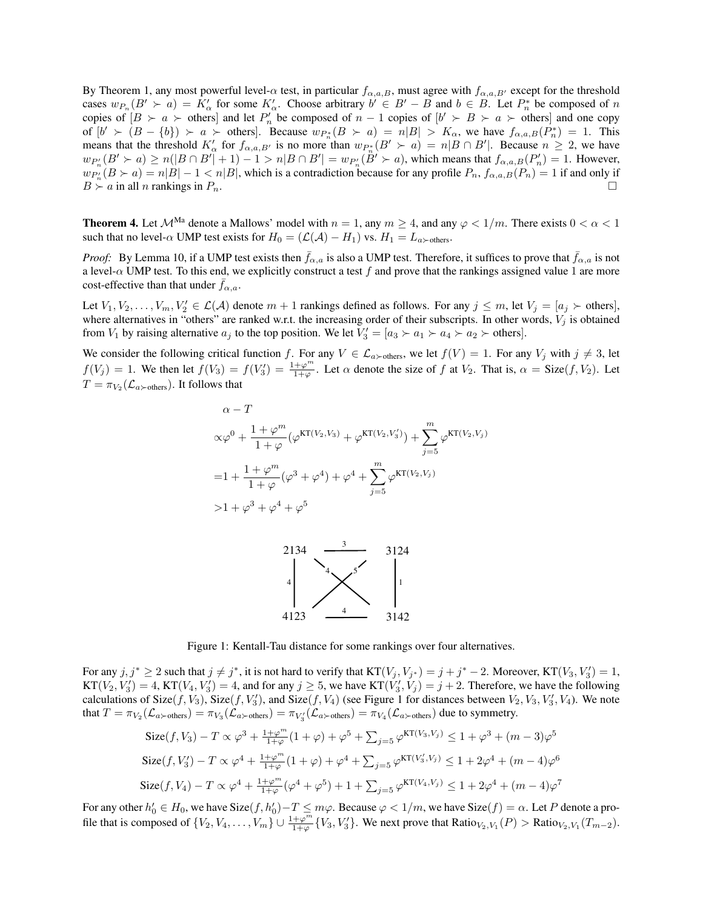By Theorem 1, any most powerful level- $\alpha$  test, in particular  $f_{\alpha,a,B}$ , must agree with  $f_{\alpha,a,B'}$  except for the threshold cases  $w_{P_n}(B' \succ a) = K'_\alpha$  for some  $K'_\alpha$ . Choose arbitrary  $b' \in B' - B$  and  $b \in B$ . Let  $P_n^*$  be composed of *n* copies of  $[B \succ a \succ \text{others}]$  and let  $P'_n$  be composed of  $n-1$  copies of  $[b' \succ B \succ a \succ \text{others}]$  and one copy of  $[b' \succ (B - \{b\}) \succ a \succ \text{others}]$ . Because  $w_{P_n^*}(B \succ a) = n|B| > K_\alpha$ , we have  $f_{\alpha,a,B}(P_n^*) = 1$ . This means that the threshold  $K'_{\alpha}$  for  $f_{\alpha,a,B'}$  is no more than  $w_{P_n^*}(B' \succ a) = n|B \cap B'|$ . Because  $n \geq 2$ , we have  $w_{P_n'}(B' \succ a) \ge n(|B \cap B'| + 1) - 1 > n|B \cap B'| = w_{P_n'}(B' \succ a)$ , which means that  $f_{\alpha,a,B}(P_n') = 1$ . However,  $w_{P_n}(B \succ a) = n|B| - 1 \lt n|B|$ , which is a contradiction because for any profile  $P_n$ ,  $f_{\alpha,a,B}(P_n) = 1$  if and only if  $B \succ a$  in all *n* rankings in  $P_n$ .

**Theorem 4.** Let  $\mathcal{M}^{\text{Ma}}$  denote a Mallows' model with  $n = 1$ , any  $m \geq 4$ , and any  $\varphi < 1/m$ . There exists  $0 < \alpha < 1$ such that no level- $\alpha$  UMP test exists for  $H_0 = (\mathcal{L}(\mathcal{A}) - H_1)$  vs.  $H_1 = L_{a \succ \text{others}}$ .

*Proof:* By Lemma 10, if a UMP test exists then  $\bar{f}_{\alpha,a}$  is also a UMP test. Therefore, it suffices to prove that  $\bar{f}_{\alpha,a}$  is not a level- $\alpha$  UMP test. To this end, we explicitly construct a test *f* and prove that the rankings assigned value 1 are more cost-effective than that under  $\bar{f}_{\alpha,a}$ .

Let  $V_1, V_2, \ldots, V_m, V'_2 \in \mathcal{L}(\mathcal{A})$  denote  $m+1$  rankings defined as follows. For any  $j \leq m$ , let  $V_j = [a_j \succ \text{others}],$ where alternatives in "others" are ranked w.r.t. the increasing order of their subscripts. In other words,  $V_j$  is obtained from  $V_1$  by raising alternative  $a_j$  to the top position. We let  $V'_3 = [a_3 \succ a_1 \succ a_4 \succ a_2 \succ$  others].

We consider the following critical function *f*. For any  $V \in \mathcal{L}_{a \succ \text{others}}$ , we let  $f(V) = 1$ . For any  $V_j$  with  $j \neq 3$ , let  $f(V_j) = 1$ . We then let  $f(V_3) = f(V'_3) = \frac{1+\varphi^m}{1+\varphi}$ . Let  $\alpha$  denote the size of  $f$  at  $V_2$ . That is,  $\alpha = \text{Size}(f, V_2)$ . Let  $T = \pi_{V_2}(\mathcal{L}_{a \succ \text{others}})$ . It follows that

$$
\alpha - T
$$
  
\n
$$
\alpha \varphi^{0} + \frac{1 + \varphi^{m}}{1 + \varphi} (\varphi^{KT(V_{2}, V_{3})} + \varphi^{KT(V_{2}, V_{3}')} ) + \sum_{j=5}^{m} \varphi^{KT(V_{2}, V_{j})}
$$
  
\n
$$
= 1 + \frac{1 + \varphi^{m}}{1 + \varphi} (\varphi^{3} + \varphi^{4}) + \varphi^{4} + \sum_{j=5}^{m} \varphi^{KT(V_{2}, V_{j})}
$$
  
\n
$$
> 1 + \varphi^{3} + \varphi^{4} + \varphi^{5}
$$



Figure 1: Kentall-Tau distance for some rankings over four alternatives.

For any  $j, j^* \ge 2$  such that  $j \ne j^*$ , it is not hard to verify that  $KT(V_j, V_{j^*}) = j + j^* - 2$ . Moreover,  $KT(V_3, V'_3) = 1$ ,  $KT(V_2, V'_3) = 4$ ,  $KT(V_4, V'_3) = 4$ , and for any  $j \ge 5$ , we have  $KT(V'_3, V_j) = j + 2$ . Therefore, we have the following calculations of Size(*f, V*<sub>3</sub>), Size(*f, V*<sub>3</sub>), and Size(*f, V*<sub>4</sub>) (see Figure 1 for distances between *V*<sub>2</sub>, *V*<sub>3</sub>, *V*<sub>3</sub>, *V*<sub>4</sub>). We note that  $T = \pi_{V_2}(\mathcal{L}_{a \succ \text{others}}) = \pi_{V_3}(\mathcal{L}_{a \succ \text{others}}) = \pi_{V'_3}(\mathcal{L}_{a \succ \text{others}}) = \pi_{V_4}(\mathcal{L}_{a \succ \text{others}})$  due to symmetry.

$$
\begin{aligned} &\text{Size}(f, V_3) - T \propto \varphi^3 + \frac{1+\varphi^m}{1+\varphi} (1+\varphi) + \varphi^5 + \sum_{j=5} \varphi^{\text{KT}(V_3, V_j)} \le 1 + \varphi^3 + (m-3)\varphi^5\\ &\text{Size}(f, V_3') - T \propto \varphi^4 + \frac{1+\varphi^m}{1+\varphi} (1+\varphi) + \varphi^4 + \sum_{j=5} \varphi^{\text{KT}(V_3', V_j)} \le 1 + 2\varphi^4 + (m-4)\varphi^6\\ &\text{Size}(f, V_4) - T \propto \varphi^4 + \frac{1+\varphi^m}{1+\varphi} (\varphi^4 + \varphi^5) + 1 + \sum_{j=5} \varphi^{\text{KT}(V_4, V_j)} \le 1 + 2\varphi^4 + (m-4)\varphi^7 \end{aligned}
$$

For any other  $h'_0 \in H_0$ , we have  $\text{Size}(f, h'_0) - T \leq m\varphi$ . Because  $\varphi < 1/m$ , we have  $\text{Size}(f) = \alpha$ . Let  $P$  denote a profile that is composed of  $\{V_2, V_4, \ldots, V_m\}$   $\cup$   $\frac{1+\varphi^m}{1+\varphi} \{V_3, V_3'\}$ . We next prove that  $Ratio_{V_2, V_1}(P) > Ratio_{V_2, V_1}(T_{m-2})$ .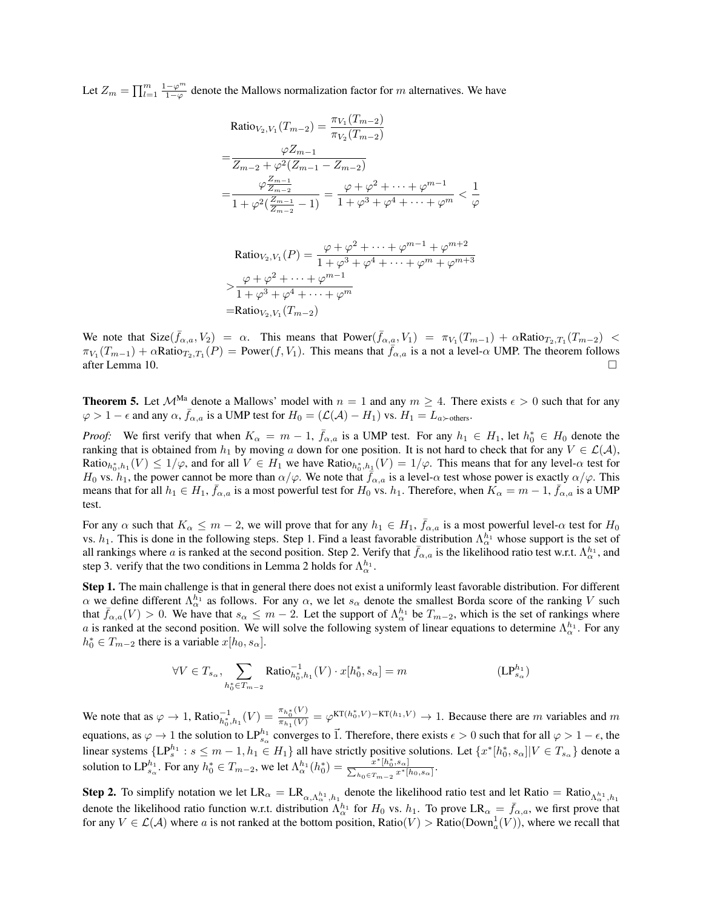Let  $Z_m = \prod_{l=1}^m \frac{1-\varphi^m}{1-\varphi}$  denote the Mallows normalization factor for *m* alternatives. We have

Ratio<sub>V<sub>2</sub>,V<sub>1</sub></sub>(T<sub>m-2</sub>) = 
$$
\frac{\pi_{V_1}(T_{m-2})}{\pi_{V_2}(T_{m-2})}
$$
  
\n= $\frac{\varphi Z_{m-1}}{Z_{m-2} + \varphi^2 (Z_{m-1} - Z_{m-2})}$   
\n= $\frac{\varphi Z_{m-1}}{1 + \varphi^2 (\frac{Z_{m-1}}{Z_{m-2}} - 1)} = \frac{\varphi + \varphi^2 + \dots + \varphi^{m-1}}{1 + \varphi^3 + \varphi^4 + \dots + \varphi^m} < \frac{1}{\varphi}$ 

 $\text{Ratio}_{V_2, V_1}(P) = \frac{\varphi + \varphi^2 + \dots + \varphi^{m-1} + \varphi^{m+2}}{1 + \varphi^3 + \varphi^4 + \dots + \varphi^{m} + \varphi^{m+2}}$  $1 + \varphi^3 + \varphi^4 + \cdots + \varphi^m + \varphi^{m+3}$  $> \frac{\varphi + \varphi^2 + \cdots + \varphi^{m-1}}{1 + \varphi^2 + \cdots + \varphi^{m-1}}$  $1 + \varphi^3 + \varphi^4 + \cdots + \varphi^m$  $=$ **Ratio**<sub>*V*2</sub></sub>  $(Y_{m-2})$ 

We note that  $\text{Size}(\bar{f}_{\alpha,a}, V_2) = \alpha$ . This means that  $\text{Power}(\bar{f}_{\alpha,a}, V_1) = \pi_{V_1}(T_{m-1}) + \alpha \text{Ratio}_{T_2, T_1}(T_{m-2})$  $\pi_{V_1}(T_{m-1}) + \alpha \text{Ratio}_{T_2, T_1}(P) = \text{Power}(f, V_1)$ . This means that  $\bar{f}_{\alpha, a}$  is a not a level- $\alpha$  UMP. The theorem follows after Lemma 10. after Lemma 10.

**Theorem 5.** Let  $\mathcal{M}^{\text{Ma}}$  denote a Mallows' model with  $n = 1$  and any  $m \geq 4$ . There exists  $\epsilon > 0$  such that for any  $\varphi > 1 - \epsilon$  and any  $\alpha$ ,  $\bar{f}_{\alpha,a}$  is a UMP test for  $H_0 = (\mathcal{L}(\mathcal{A}) - H_1)$  vs.  $H_1 = L_{a \succ \text{others}}$ .

*Proof:* We first verify that when  $K_{\alpha} = m - 1$ ,  $\bar{f}_{\alpha,a}$  is a UMP test. For any  $h_1 \in H_1$ , let  $h_0^* \in H_0$  denote the ranking that is obtained from  $h_1$  by moving *a* down for one position. It is not hard to check that for any  $V \in \mathcal{L}(\mathcal{A})$ ,  $Ratio_{h_0^*,h_1}(V) \leq 1/\varphi$ , and for all  $V \in H_1$  we have  $Ratio_{h_0^*,h_1^*}(V) = 1/\varphi$ . This means that for any level- $\alpha$  test for *H*<sub>0</sub> vs. *h*<sub>1</sub>, the power cannot be more than  $\alpha/\varphi$ . We note that  $f_{\alpha,a}$  is a level- $\alpha$  test whose power is exactly  $\alpha/\varphi$ . This means that for all  $h_1 \in H_1$ ,  $\bar{f}_{\alpha,a}$  is a most powerful test for  $H_0$  vs.  $h_1$ . Therefore, when  $K_\alpha = m - 1$ ,  $\bar{f}_{\alpha,a}$  is a UMP test.

For any  $\alpha$  such that  $K_{\alpha} \leq m-2$ , we will prove that for any  $h_1 \in H_1$ ,  $\bar{f}_{\alpha,a}$  is a most powerful level- $\alpha$  test for  $H_0$ vs.  $h_1$ . This is done in the following steps. Step 1. Find a least favorable distribution  $\Lambda^{h_1}_{\alpha}$  whose support is the set of all rankings where *a* is ranked at the second position. Step 2. Verify that  $\bar{f}_{\alpha,a}$  is the likelihood ratio test w.r.t.  $\Lambda^{h_1}_\alpha$ , and step 3. verify that the two conditions in Lemma 2 holds for  $\Lambda^{h_1}_{\alpha}$ .

Step 1. The main challenge is that in general there does not exist a uniformly least favorable distribution. For different  $\alpha$  we define different  $\Lambda^{h_1}_\alpha$  as follows. For any  $\alpha$ , we let  $s_\alpha$  denote the smallest Borda score of the ranking *V* such that  $\bar{f}_{\alpha,a}(V) > 0$ . We have that  $s_\alpha \leq m-2$ . Let the support of  $\Lambda_\alpha^{h_1}$  be  $T_{m-2}$ , which is the set of rankings where *a* is ranked at the second position. We will solve the following system of linear equations to determine  $\Lambda^{h_1}_{\alpha}$ . For any  $h_0^* \in T_{m-2}$  there is a variable  $x[h_0, s_\alpha]$ .

$$
\forall V \in T_{s_\alpha}, \sum_{h_0^* \in T_{m-2}} \text{Ratio}_{h_0^*,h_1}^{-1}(V) \cdot x[h_0^*,s_\alpha] = m \tag{LP}_{s_\alpha}^{h_1} \tag{LP}_{s_\alpha}^{h_1}
$$

We note that as  $\varphi \to 1$ , Ratio $\frac{1}{h_0^*, h_1}(V) = \frac{\pi_{h_0^*}(V)}{\pi_{h_1}(V)} = \varphi^{KT(h_0^*, V) - KT(h_1, V)} \to 1$ . Because there are *m* variables and *m* equations, as  $\varphi \to 1$  the solution to  $LP_{s_\alpha}^{h_1}$  converges to  $\vec{1}$ . Therefore, there exists  $\epsilon > 0$  such that for all  $\varphi > 1 - \epsilon$ , the linear systems  $\{\mathsf{LP}_s^{h_1} : s \leq m-1, h_1 \in H_1\}$  all have strictly positive solutions. Let  $\{x^*[h_0^*, s_\alpha]| V \in T_{s_\alpha}\}$  denote a solution to  $LP_{s_\alpha}^{h_1}$ . For any  $h_0^* \in T_{m-2}$ , we let  $\Lambda_\alpha^{h_1}(h_0^*) = \frac{x^*[h_0^*, s_\alpha]}{\sum_{h_0 \in T_{m-2}} x^*[h_0, s_\alpha]}$ .

Step 2. To simplify notation we let  $LR_\alpha = LR_{\alpha, \Lambda_\alpha^{h_1}, h_1}$  denote the likelihood ratio test and let Ratio = Ratio<sub> $\Lambda_\alpha^{h_1}, h_1$ </sub> denote the likelihood ratio function w.r.t. distribution  $\Lambda_{\alpha}^{h_1}$  for  $H_0$  vs.  $h_1$ . To prove LR<sub> $\alpha$ </sub> =  $\bar{f}_{\alpha,a}$ , we first prove that for any  $V \in \mathcal{L}(\mathcal{A})$  where *a* is not ranked at the bottom position, Ratio( $V$ ) > Ratio( $\text{Down}_a^1(V)$ ), where we recall that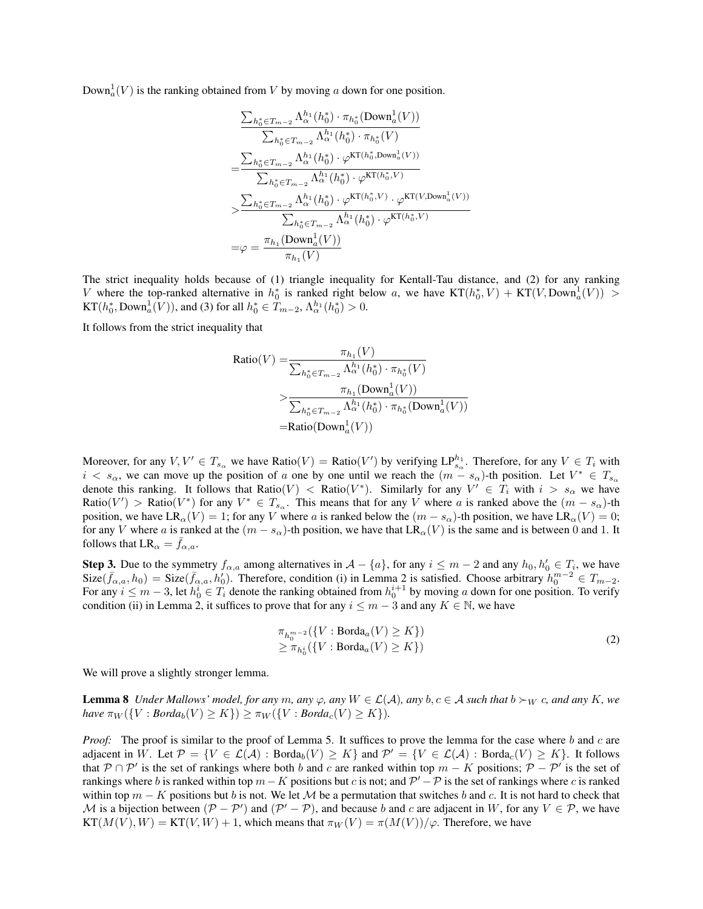$\text{Down}_a^1(V)$  is the ranking obtained from *V* by moving *a* down for one position.

$$
\frac{\sum_{h_0^* \in T_{m-2}} \Lambda_{\alpha}^{h_1}(h_0^*) \cdot \pi_{h_0^*}(\text{Down}_a^1(V))}{\sum_{h_0^* \in T_{m-2}} \Lambda_{\alpha}^{h_1}(h_0^*) \cdot \pi_{h_0^*}(V)}
$$
\n
$$
= \frac{\sum_{h_0^* \in T_{m-2}} \Lambda_{\alpha}^{h_1}(h_0^*) \cdot \varphi^{\text{KT}(h_0^*, \text{Down}_a^1(V))}}{\sum_{h_0^* \in T_{m-2}} \Lambda_{\alpha}^{h_1}(h_0^*) \cdot \varphi^{\text{KT}(h_0^*,V)}}{\sum_{h_0^* \in T_{m-2}} \Lambda_{\alpha}^{h_1}(h_0^*) \cdot \varphi^{\text{KT}(h_0^*,V)} \cdot \varphi^{\text{KT}(V, \text{Down}_a^1(V))}}
$$
\n
$$
= \varphi = \frac{\pi_{h_1}(\text{Down}_a^1(V))}{\pi_{h_1}(V)}
$$

The strict inequality holds because of (1) triangle inequality for Kentall-Tau distance, and (2) for any ranking *V* where the top-ranked alternative in  $h_0^*$  is ranked right below *a*, we have  $KT(h_0^*, V) + KT(V, Down_a^1(V)) >$  $KT(h_0^*, \text{Down}_a^1(V))$ , and (3) for all  $h_0^* \in T_{m-2}, \Lambda_\alpha^{h_1}(h_0^*) > 0$ .

It follows from the strict inequality that

Ratio(V) = 
$$
\frac{\pi_{h_1}(V)}{\sum_{h_0^* \in T_{m-2}} \Lambda_{\alpha}^{h_1}(h_0^*) \cdot \pi_{h_0^*}(V)}
$$

$$
> \frac{\pi_{h_1}(\text{Down}_a^1(V))}{\sum_{h_0^* \in T_{m-2}} \Lambda_{\alpha}^{h_1}(h_0^*) \cdot \pi_{h_0^*}(\text{Down}_a^1(V))}
$$
=Ratio(Down<sub>a</sub><sup>1</sup>(V))

Moreover, for any  $V, V' \in T_{s_\alpha}$  we have Ratio $(V) =$  Ratio $(V')$  by verifying  $LP_{s_\alpha}^{h_1}$ . Therefore, for any  $V \in T_i$  with  $i < s_\alpha$ , we can move up the position of *a* one by one until we reach the  $(m - s_\alpha)$ -th position. Let  $V^* \in T_{s_\alpha}$ denote this ranking. It follows that Ratio(*V*)  $\langle$  Ratio(*V*<sup>\*</sup>). Similarly for any  $V' \in T_i$  with  $i > s_\alpha$  we have  $Ratio(V') > Ratio(V^*)$  for any  $V^* \in T_{s_{\alpha}}$ . This means that for any *V* where *a* is ranked above the  $(m - s_{\alpha})$ -th position, we have  $LR_{\alpha}(V) = 1$ ; for any *V* where *a* is ranked below the  $(m - s_{\alpha})$ -th position, we have  $LR_{\alpha}(V) = 0$ ; for any *V* where *a* is ranked at the  $(m - s_\alpha)$ -th position, we have that  $LR_\alpha(V)$  is the same and is between 0 and 1. It follows that  $LR_{\alpha} = \bar{f}_{\alpha,a}$ .

Step 3. Due to the symmetry  $f_{\alpha,a}$  among alternatives in  $\mathcal{A} - \{a\}$ , for any  $i \leq m-2$  and any  $h_0, h'_0 \in T_i$ , we have  $Size(\bar{f}_{\alpha,a}, h_0) = Size(\bar{f}_{\alpha,a}, h'_0)$ . Therefore, condition (i) in Lemma 2 is satisfied. Choose arbitrary  $h_0^{m-2} \in T_{m-2}$ . For any  $i \le m-3$ , let  $h_0^i \in T_i$  denote the ranking obtained from  $h_0^{i+1}$  by moving *a* down for one position. To verify condition (ii) in Lemma 2, it suffices to prove that for any  $i \leq m-3$  and any  $K \in \mathbb{N}$ , we have

$$
\pi_{h_0^{m-2}}(\{V : \text{Borda}_a(V) \ge K\})
$$
\n
$$
\ge \pi_{h_0^i}(\{V : \text{Borda}_a(V) \ge K\})
$$
\n(2)

We will prove a slightly stronger lemma.

**Lemma 8** *Under Mallows' model, for any*  $m$ *, any*  $\varphi$ *, any*  $W \in \mathcal{L}(\mathcal{A})$ *, any*  $b, c \in \mathcal{A}$  *such that*  $b \succ_W c$ *, and any*  $K$ *, we*  $have \pi_W({V: Borda_b(V) \ge K}) \ge \pi_W({V: Borda_c(V) \ge K}).$ 

*Proof:* The proof is similar to the proof of Lemma 5. It suffices to prove the lemma for the case where *b* and *c* are adjacent in W. Let  $\mathcal{P} = \{V \in \mathcal{L}(\mathcal{A}) : \text{Borda}_{b}(V) \geq K\}$  and  $\mathcal{P}' = \{V \in \mathcal{L}(\mathcal{A}) : \text{Borda}_{c}(V) \geq K\}$ . It follows that  $P \cap P'$  is the set of rankings where both *b* and *c* are ranked within top  $m - K$  positions;  $P - P'$  is the set of rankings where *b* is ranked within top  $m - K$  positions but *c* is not; and  $P' - P$  is the set of rankings where *c* is ranked within top  $m - K$  positions but *b* is not. We let M be a permutation that switches *b* and *c*. It is not hard to check that *M* is a bijection between  $(P - P')$  and  $(P' - P)$ , and because *b* and *c* are adjacent in *W*, for any  $V \in P$ , we have  $KT(M(V), W) = KT(V, W) + 1$ , which means that  $\pi_W(V) = \pi(M(V))/\varphi$ . Therefore, we have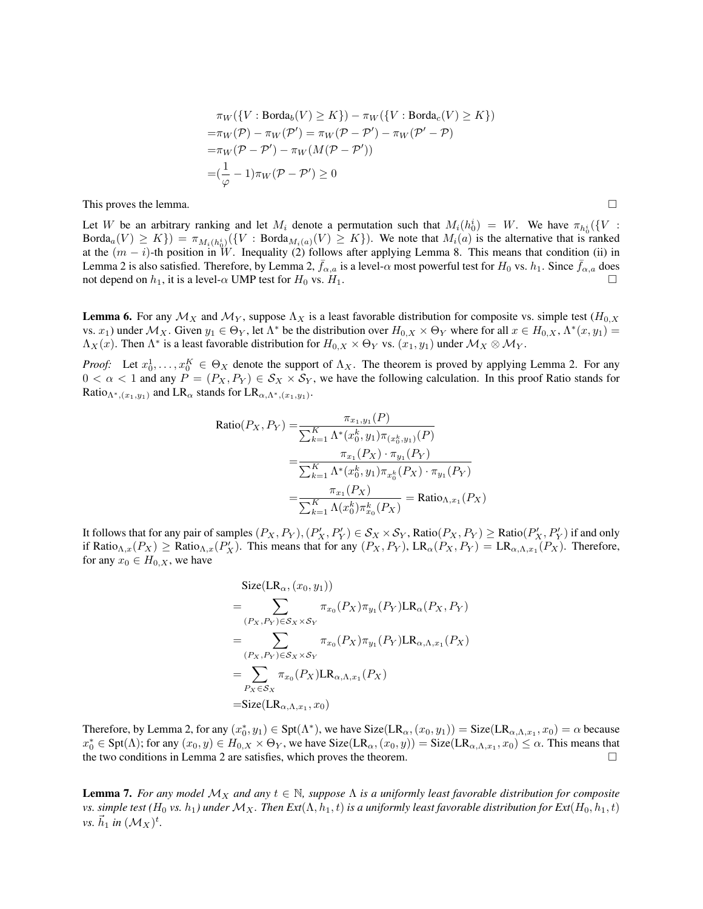$$
\pi_W(\{V : \text{Borda}_b(V) \ge K\}) - \pi_W(\{V : \text{Borda}_c(V) \ge K\})
$$
  
= $\pi_W(\mathcal{P}) - \pi_W(\mathcal{P}') = \pi_W(\mathcal{P} - \mathcal{P}') - \pi_W(\mathcal{P}' - \mathcal{P})$   
= $\pi_W(\mathcal{P} - \mathcal{P}') - \pi_W(M(\mathcal{P} - \mathcal{P}'))$   
= $(\frac{1}{\varphi} - 1)\pi_W(\mathcal{P} - \mathcal{P}') \ge 0$ 

This proves the lemma.  $\Box$ 

Let *W* be an arbitrary ranking and let  $M_i$  denote a permutation such that  $M_i(h_0^i) = W$ . We have  $\pi_{h_0^i}(\{V :$  $Borda_a(V) \ge K\}) = \pi_{M_i(h_0^i)}(\{V : Borda_{M_i(a)}(V) \ge K\})$ . We note that  $M_i(a)$  is the alternative that is ranked at the  $(m - i)$ -th position in W. Inequality (2) follows after applying Lemma 8. This means that condition (ii) in Lemma 2 is also satisfied. Therefore, by Lemma 2,  $f_{\alpha,a}$  is a level- $\alpha$  most powerful test for  $H_0$  vs.  $h_1$ . Since  $f_{\alpha,a}$  does not depend on  $h_1$ , it is a level- $\alpha$  UMP test for  $H_0$  vs.  $H_1$ .

**Lemma 6.** For any  $M_X$  and  $M_Y$ , suppose  $\Lambda_X$  is a least favorable distribution for composite vs. simple test  $(H_{0,X})$ vs.  $x_1$ ) under  $\mathcal{M}_X$ . Given  $y_1 \in \Theta_Y$ , let  $\Lambda^*$  be the distribution over  $H_{0,X} \times \Theta_Y$  where for all  $x \in H_{0,X}$ ,  $\Lambda^*(x, y_1) =$  $\Lambda_X(x)$ . Then  $\Lambda^*$  is a least favorable distribution for  $H_{0,X} \times \Theta_Y$  vs.  $(x_1, y_1)$  under  $\mathcal{M}_X \otimes \mathcal{M}_Y$ .

*Proof:* Let  $x_0^1, \ldots, x_0^K \in \Theta_X$  denote the support of  $\Lambda_X$ . The theorem is proved by applying Lemma 2. For any  $0 < \alpha < 1$  and any  $P = (P_X, P_Y) \in S_X \times S_Y$ , we have the following calculation. In this proof Ratio stands for Ratio<sub> $\Lambda^*$ ,( $x_1, y_1$ ) and LR<sub> $\alpha$ </sub> stands for LR<sub> $\alpha, \Lambda^*$ </sub>,( $x_1, y_1$ ).</sub>

Ratio
$$
(P_X, P_Y)
$$
 =  $\frac{\pi_{x_1, y_1}(P)}{\sum_{k=1}^K \Lambda^*(x_0^k, y_1) \pi_{(x_0^k, y_1)}(P)}$   
 =  $\frac{\pi_{x_1}(P_X) \cdot \pi_{y_1}(P_Y)}{\sum_{k=1}^K \Lambda^*(x_0^k, y_1) \pi_{x_0^k}(P_X) \cdot \pi_{y_1}(P_Y)}$   
 =  $\frac{\pi_{x_1}(P_X)}{\sum_{k=1}^K \Lambda(x_0^k) \pi_{x_0}^k(P_X)}$  = Ratio<sub>Λ,x\_1</sub> $(P_X)$ 

It follows that for any pair of samples  $(P_X, P_Y), (P'_X, P'_Y) \in S_X \times S_Y$ , Ratio $(P_X, P_Y) \geq$  Ratio $(P'_X, P'_Y)$  if and only if Ratio<sub> $\Lambda$ , $x(P_X) \ge$  Ratio $\Lambda$ , $x(P'_X)$ . This means that for any  $(P_X, P_Y)$ , LR $_{\alpha}(P_X, P_Y) = \text{LR}_{\alpha, \Lambda, x_1}(P_X)$ . Therefore,</sub> for any  $x_0 \in H_{0,X}$ , we have

$$
\begin{split}\n\text{Size}(\text{LR}_{\alpha}, (x_0, y_1)) \\
&= \sum_{(P_X, P_Y) \in \mathcal{S}_X \times \mathcal{S}_Y} \pi_{x_0}(P_X) \pi_{y_1}(P_Y) \text{LR}_{\alpha}(P_X, P_Y) \\
&= \sum_{(P_X, P_Y) \in \mathcal{S}_X \times \mathcal{S}_Y} \pi_{x_0}(P_X) \pi_{y_1}(P_Y) \text{LR}_{\alpha, \Lambda, x_1}(P_X) \\
&= \sum_{P_X \in \mathcal{S}_X} \pi_{x_0}(P_X) \text{LR}_{\alpha, \Lambda, x_1}(P_X) \\
&= \text{Size}(\text{LR}_{\alpha, \Lambda, x_1}, x_0)\n\end{split}
$$

Therefore, by Lemma 2, for any  $(x_0^*, y_1) \in \text{Spt}(\Lambda^*)$ , we have  $\text{Size}(\text{LR}_{\alpha_1}(x_0, y_1)) = \text{Size}(\text{LR}_{\alpha_1}\Lambda, x_1, x_0) = \alpha$  because  $x_0^* \in \text{Spt}(\Lambda)$ ; for any  $(x_0, y) \in H_{0,X} \times \Theta_Y$ , we have  $\text{Size}(\text{LR}_\alpha, (x_0, y)) = \text{Size}(\text{LR}_{\alpha,\Lambda,x_1}, x_0) \leq \alpha$ . This means that the two conditions in Lemma 2 are satisfies, which proves the theorem.  $\Box$ 

**Lemma 7.** For any model  $\mathcal{M}_X$  and any  $t \in \mathbb{N}$ , suppose  $\Lambda$  is a uniformly least favorable distribution for composite *vs.* simple test ( $H_0$  *vs.*  $h_1$ ) under  $M_X$ . Then  $Ext(\Lambda, h_1, t)$  is a uniformly least favorable distribution for  $Ext(H_0, h_1, t)$  $\nu s. \vec{h}_1$  *in*  $(\mathcal{M}_X)^t$ .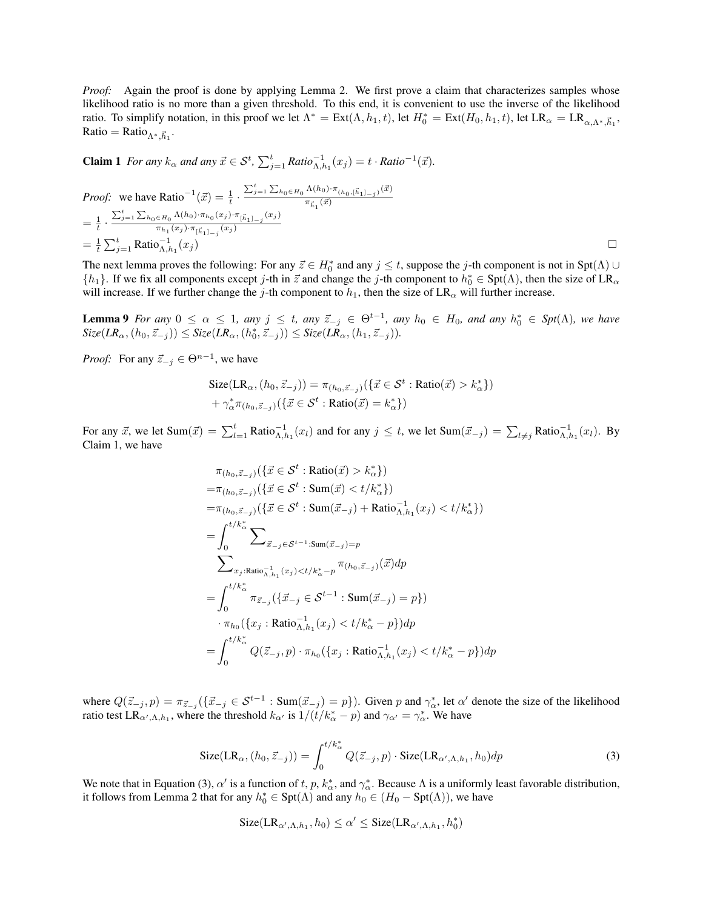*Proof:* Again the proof is done by applying Lemma 2. We first prove a claim that characterizes samples whose likelihood ratio is no more than a given threshold. To this end, it is convenient to use the inverse of the likelihood ratio. To simplify notation, in this proof we let  $\Lambda^* = \text{Ext}(\Lambda, h_1, t)$ , let  $H_0^* = \text{Ext}(H_0, h_1, t)$ , let  $\text{LR}_{\alpha} = \text{LR}_{\alpha, \Lambda^*, \vec{h}_1}$ ,  $Ratio = Ratio_{\Lambda^*, \vec{h}_1}.$ 

**Claim 1** For any 
$$
k_{\alpha}
$$
 and any  $\vec{x} \in S^t$ ,  $\sum_{j=1}^t Ratio_{\Lambda, h_1}^{-1}(x_j) = t \cdot Ratio^{-1}(\vec{x})$ .

*Proof:* we have Ratio<sup>-1</sup>(
$$
\vec{x}
$$
) =  $\frac{1}{t} \cdot \frac{\sum_{j=1}^{t} \sum_{h_0 \in H_0} \Lambda(h_0) \cdot \pi_{(h_0, [\vec{h}_1]_{-j})}(\vec{x})}{\pi_{\vec{h}_1}(\vec{x})}$   
\n=  $\frac{1}{t} \cdot \frac{\sum_{j=1}^{t} \sum_{h_0 \in H_0} \Lambda(h_0) \cdot \pi_{h_0}(x_j) \cdot \pi_{[\vec{h}_1]_{-j}}(x_j)}{\pi_{h_1}(x_j) \cdot \pi_{[\vec{h}_1]_{-j}}(x_j)}$   
\n=  $\frac{1}{t} \sum_{j=1}^{t} \text{Ratio}_{\Lambda, h_1}^{-1}(x_j)$ 

The next lemma proves the following: For any  $\vec{z} \in H_0^*$  and any  $j \le t$ , suppose the *j*-th component is not in Spt( $\Lambda$ )  $\cup$  $\{h_1\}$ . If we fix all components except *j*-th in  $\vec{z}$  and change the *j*-th component to  $h_0^* \in \text{Spt}(\Lambda)$ , then the size of  $LR_{\alpha}$ will increase. If we further change the *j*-th component to  $h_1$ , then the size of  $LR_\alpha$  will further increase.

**Lemma 9** For any  $0 \le \alpha \le 1$ , any  $j \le t$ , any  $\vec{z}_{-j} \in \Theta^{t-1}$ , any  $h_0 \in H_0$ , and any  $h_0^* \in Spt(\Lambda)$ , we have  $Size(LR_{\alpha}, (h_0, \vec{z}_{-j})) \leq Size(LR_{\alpha}, (h_0^*, \vec{z}_{-j})) \leq Size(LR_{\alpha}, (h_1, \vec{z}_{-j}))$ .

*Proof:* For any  $\vec{z}_{-j} \in \Theta^{n-1}$ , we have

$$
\text{Size}(\text{LR}_{\alpha}, (h_0, \vec{z}_{-j})) = \pi_{(h_0, \vec{z}_{-j})}(\{\vec{x} \in \mathcal{S}^t : \text{Ratio}(\vec{x}) > k_{\alpha}^*\})
$$

$$
+ \gamma_{\alpha}^* \pi_{(h_0, \vec{z}_{-j})}(\{\vec{x} \in \mathcal{S}^t : \text{Ratio}(\vec{x}) = k_{\alpha}^*\})
$$

For any  $\vec{x}$ , we let  $\text{Sum}(\vec{x}) = \sum_{l=1}^{t} \text{Ratio}_{\Lambda, h_1}^{-1}(x_l)$  and for any  $j \le t$ , we let  $\text{Sum}(\vec{x}_{-j}) = \sum_{l \ne j} \text{Ratio}_{\Lambda, h_1}^{-1}(x_l)$ . By Claim 1, we have

$$
\pi_{(h_0, \vec{z}_{-j})}\left(\{\vec{x} \in \mathcal{S}^t : \text{Ratio}(\vec{x}) > k_{\alpha}^*\}\right)
$$
\n
$$
= \pi_{(h_0, \vec{z}_{-j})}\left(\{\vec{x} \in \mathcal{S}^t : \text{Sum}(\vec{x}) < t / k_{\alpha}^*\}\right)
$$
\n
$$
= \pi_{(h_0, \vec{z}_{-j})}\left(\{\vec{x} \in \mathcal{S}^t : \text{Sum}(\vec{x}_{-j}) + \text{Ratio}_{\Lambda, h_1}^{-1}(x_j) < t / k_{\alpha}^*\}\right)
$$
\n
$$
= \int_0^{t / k_{\alpha}^*} \sum_{\vec{x}_{-j} \in \mathcal{S}^{t-1} : \text{Sum}(\vec{x}_{-j}) = p} \sum_{x_j : \text{Ratio}_{\Lambda, h_1}^{-1}(x_j) < t / k_{\alpha}^* - p} \pi_{(h_0, \vec{z}_{-j})}(\vec{x}) dp
$$
\n
$$
= \int_0^{t / k_{\alpha}^*} \pi_{\vec{z}_{-j}}\left(\{\vec{x}_{-j} \in \mathcal{S}^{t-1} : \text{Sum}(\vec{x}_{-j}) = p\}\right)
$$
\n
$$
\cdot \pi_{h_0}\left(\{x_j : \text{Ratio}_{\Lambda, h_1}^{-1}(x_j) < t / k_{\alpha}^* - p\}\right) dp
$$
\n
$$
= \int_0^{t / k_{\alpha}^*} Q(\vec{z}_{-j}, p) \cdot \pi_{h_0}\left(\{x_j : \text{Ratio}_{\Lambda, h_1}^{-1}(x_j) < t / k_{\alpha}^* - p\}\right) dp
$$

where  $Q(\vec{z}_{-j}, p) = \pi_{\vec{z}_{-j}}(\{\vec{x}_{-j} \in \mathcal{S}^{t-1} : \text{Sum}(\vec{x}_{-j}) = p\})$ . Given *p* and  $\gamma^*_{\alpha}$ , let  $\alpha'$  denote the size of the likelihood ratio test  $LR_{\alpha',\Lambda,h_1}$ , where the threshold  $k_{\alpha'}$  is  $1/(t/k^*_{\alpha}-p)$  and  $\gamma_{\alpha'}=\gamma^*_{\alpha}$ . We have

$$
\text{Size}(\text{LR}_{\alpha}, (h_0, \vec{z}_{-j})) = \int_0^{t/k_{\alpha}^*} Q(\vec{z}_{-j}, p) \cdot \text{Size}(\text{LR}_{\alpha', \Lambda, h_1}, h_0) dp \tag{3}
$$

We note that in Equation (3),  $\alpha'$  is a function of *t*, *p*,  $k^*_{\alpha}$ , and  $\gamma^*_{\alpha}$ . Because  $\Lambda$  is a uniformly least favorable distribution, it follows from Lemma 2 that for any  $h_0^* \in \text{Spt}(\Lambda)$  and any  $h_0 \in (H_0 - \text{Spt}(\Lambda))$ , we have

$$
\text{Size}(\text{LR}_{\alpha',\Lambda,h_1},h_0) \leq \alpha' \leq \text{Size}(\text{LR}_{\alpha',\Lambda,h_1},h_0^*)
$$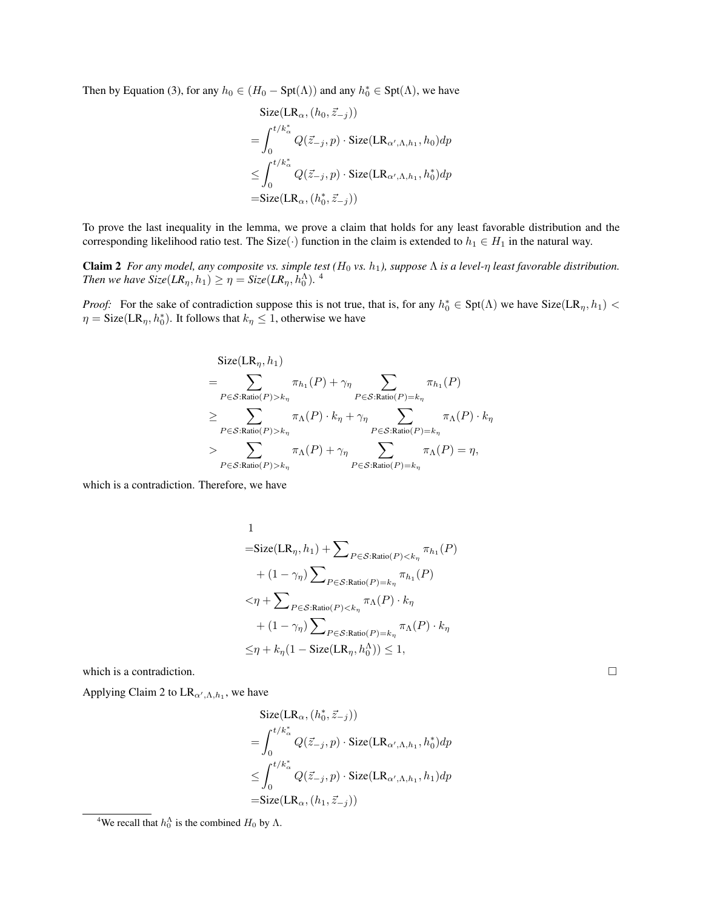Then by Equation (3), for any  $h_0 \in (H_0 - Spt(\Lambda))$  and any  $h_0^* \in Spt(\Lambda)$ , we have

$$
\begin{aligned}\n\text{Size}(\text{LR}_{\alpha}, (h_0, \vec{z}_{-j})) \\
&= \int_0^{t/k_{\alpha}^*} Q(\vec{z}_{-j}, p) \cdot \text{Size}(\text{LR}_{\alpha', \Lambda, h_1}, h_0) dp \\
&\leq \int_0^{t/k_{\alpha}^*} Q(\vec{z}_{-j}, p) \cdot \text{Size}(\text{LR}_{\alpha', \Lambda, h_1}, h_0^*) dp \\
&= \text{Size}(\text{LR}_{\alpha}, (h_0^*, \vec{z}_{-j}))\n\end{aligned}
$$

To prove the last inequality in the lemma, we prove a claim that holds for any least favorable distribution and the corresponding likelihood ratio test. The Size( $\cdot$ ) function in the claim is extended to  $h_1 \in H_1$  in the natural way.

Claim 2 *For any model, any composite vs. simple test* ( $H_0$  *vs.*  $h_1$ ), suppose  $\Lambda$  *is a level-* $\eta$  *least favorable distribution. Then we have Size*(*LR*<sub> $\eta$ </sub>,  $h_1$ )  $\geq \eta =$  *Size*(*LR*<sub> $\eta$ </sub>,  $h_0^{\Lambda}$ ).<sup>4</sup>

*Proof:* For the sake of contradiction suppose this is not true, that is, for any  $h_0^* \in \text{Spt}(\Lambda)$  we have  $\text{Size}(\text{LR}_\eta, h_1)$  <  $\eta = \text{Size}(\text{LR}_{\eta}, h_0^*)$ . It follows that  $k_{\eta} \leq 1$ , otherwise we have

$$
\begin{split} &\text{Size}(\text{LR}_{\eta}, h_1) \\ & = \sum_{P \in \mathcal{S}: \text{Ratio}(P) > k_{\eta}} \pi_{h_1}(P) + \gamma_{\eta} \sum_{P \in \mathcal{S}: \text{Ratio}(P) = k_{\eta}} \pi_{h_1}(P) \\ & \geq \sum_{P \in \mathcal{S}: \text{Ratio}(P) > k_{\eta}} \pi_{\Lambda}(P) \cdot k_{\eta} + \gamma_{\eta} \sum_{P \in \mathcal{S}: \text{Ratio}(P) = k_{\eta}} \pi_{\Lambda}(P) \cdot k_{\eta} \\ & > \sum_{P \in \mathcal{S}: \text{Ratio}(P) > k_{\eta}} \pi_{\Lambda}(P) + \gamma_{\eta} \sum_{P \in \mathcal{S}: \text{Ratio}(P) = k_{\eta}} \pi_{\Lambda}(P) = \eta, \end{split}
$$

which is a contradiction. Therefore, we have

1  
\n
$$
= \text{Size}(\text{LR}_{\eta}, h_1) + \sum_{P \in \mathcal{S}: \text{Ratio}(P) < k_{\eta}} \pi_{h_1}(P)
$$
\n
$$
+ (1 - \gamma_{\eta}) \sum_{P \in \mathcal{S}: \text{Ratio}(P) = k_{\eta}} \pi_{h_1}(P)
$$
\n
$$
< \eta + \sum_{P \in \mathcal{S}: \text{Ratio}(P) < k_{\eta}} \pi_{\Lambda}(P) \cdot k_{\eta}
$$
\n
$$
+ (1 - \gamma_{\eta}) \sum_{P \in \mathcal{S}: \text{Ratio}(P) = k_{\eta}} \pi_{\Lambda}(P) \cdot k_{\eta}
$$
\n
$$
\leq \eta + k_{\eta} (1 - \text{Size}(\text{LR}_{\eta}, h_0^{\Lambda})) \leq 1,
$$

which is a contradiction.

Applying Claim 2 to  $LR_{\alpha',\Lambda,h_1}$ , we have

$$
\begin{aligned}\n\text{Size}(\text{LR}_{\alpha}, (h_0^*, \vec{z}_{-j})) \\
&= \int_0^{t/k_{\alpha}^*} Q(\vec{z}_{-j}, p) \cdot \text{Size}(\text{LR}_{\alpha', \Lambda, h_1}, h_0^*) dp \\
&\leq \int_0^{t/k_{\alpha}^*} Q(\vec{z}_{-j}, p) \cdot \text{Size}(\text{LR}_{\alpha', \Lambda, h_1}, h_1) dp \\
&= \text{Size}(\text{LR}_{\alpha}, (h_1, \vec{z}_{-j}))\n\end{aligned}
$$

<sup>&</sup>lt;sup>4</sup>We recall that  $h_0^{\Lambda}$  is the combined  $H_0$  by  $\Lambda$ .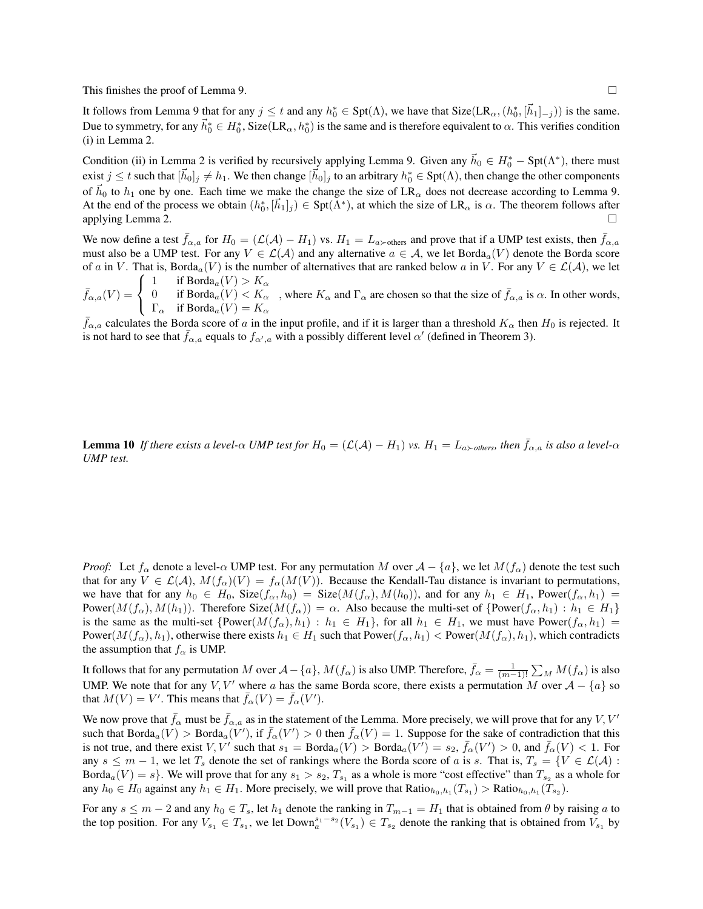This finishes the proof of Lemma 9.  $\Box$ 

It follows from Lemma 9 that for any  $j \le t$  and any  $h_0^* \in \text{Spt}(\Lambda)$ , we have that  $\text{Size}(\text{LR}_\alpha, (h_0^*, [\vec{h}_1]_{-j}))$  is the same. Due to symmetry, for any  $\vec{h}_0^* \in H_0^*$ , Size(LR<sub> $\alpha$ </sub>,  $h_0^*$ ) is the same and is therefore equivalent to  $\alpha$ . This verifies condition (i) in Lemma 2.

Condition (ii) in Lemma 2 is verified by recursively applying Lemma 9. Given any  $\vec{h}_0 \in H_0^* - \text{Spt}(\Lambda^*)$ , there must exist  $j \le t$  such that  $[\vec{h}_0]_j \ne h_1$ . We then change  $[\vec{h}_0]_j$  to an arbitrary  $h_0^* \in \text{Spt}(\Lambda)$ , then change the other components of  $\vec{h}_0$  to  $h_1$  one by one. Each time we make the change the size of LR<sub> $\alpha$ </sub> does not decrease according to Lemma 9. At the end of the process we obtain  $(h_0^*, [\vec{h}_1]_j) \in \text{Spt}(\Lambda^*)$ , at which the size of LR<sub> $\alpha$ </sub> is  $\alpha$ . The theorem follows after applying Lemma 2.  $\Box$ 

We now define a test  $f_{\alpha,a}$  for  $H_0 = (L(A) - H_1)$  vs.  $H_1 = L_{a \succ \text{others}}$  and prove that if a UMP test exists, then  $\bar{f}_{\alpha,a}$ must also be a UMP test. For any  $V \in \mathcal{L}(\mathcal{A})$  and any alternative  $a \in \mathcal{A}$ , we let Borda<sub>a</sub>(*V*) denote the Borda score of *a* in *V*. That is, Borda<sub>*a*</sub>(*V*) is the number of alternatives that are ranked below *a* in *V*. For any  $V \in \mathcal{L}(\mathcal{A})$ , we let  $\sqrt{2}$ 1 if  $\text{Borda}_a(V) > K_\alpha$ 

 $\bar{f}_{\alpha,a}(V) =$  $\frac{1}{2}$  $\mathbf{I}$ 0 if  $\text{Borda}_a(V) < K_\alpha$  $\Gamma_{\alpha}$  if  $\text{Borda}_{a}(V) = K_{\alpha}$ *,* where  $K_{\alpha}$  and  $\Gamma_{\alpha}$  are chosen so that the size of  $\bar{f}_{\alpha,a}$  is  $\alpha$ . In other words,

 $\bar{f}_{\alpha,a}$  calculates the Borda score of *a* in the input profile, and if it is larger than a threshold  $K_\alpha$  then  $H_0$  is rejected. It is not hard to see that  $\bar{f}_{\alpha,a}$  equals to  $f_{\alpha',a}$  with a possibly different level  $\alpha'$  (defined in Theorem 3).

**Lemma 10** If there exists a level- $\alpha$  UMP test for  $H_0 = (L(\mathcal{A}) - H_1)$  vs.  $H_1 = L_{a \succ others}$ , then  $\bar{f}_{\alpha,a}$  is also a level- $\alpha$ *UMP test.*

*Proof:* Let  $f_\alpha$  denote a level- $\alpha$  UMP test. For any permutation *M* over  $\mathcal{A} - \{a\}$ , we let  $M(f_\alpha)$  denote the test such that for any  $V \in \mathcal{L}(\mathcal{A}), M(f_\alpha)(V) = f_\alpha(M(V))$ . Because the Kendall-Tau distance is invariant to permutations, we have that for any  $h_0 \in H_0$ ,  $Size(f_\alpha, h_0) = Size(M(f_\alpha), M(h_0))$ , and for any  $h_1 \in H_1$ , Power $(f_\alpha, h_1) =$ Power( $M(f_\alpha), M(h_1)$ ). Therefore Size( $M(f_\alpha)$ ) =  $\alpha$ . Also because the multi-set of  $\{\text{Power}(f_\alpha, h_1) : h_1 \in H_1\}$ is the same as the multi-set  $\{Power(M(f_\alpha), h_1) : h_1 \in H_1\}$ , for all  $h_1 \in H_1$ , we must have Power $(f_\alpha, h_1) =$ Power $(M(f_\alpha), h_1)$ , otherwise there exists  $h_1 \in H_1$  such that Power $(f_\alpha, h_1)$  < Power $(M(f_\alpha), h_1)$ , which contradicts the assumption that  $f_\alpha$  is UMP.

It follows that for any permutation *M* over  $A - \{a\}$ ,  $M(f_\alpha)$  is also UMP. Therefore,  $\bar{f}_\alpha = \frac{1}{(m-1)!} \sum_M M(f_\alpha)$  is also UMP. We note that for any *V*, *V'* where *a* has the same Borda score, there exists a permutation *M* over  $A - \{a\}$  so that  $M(V) = V'$ . This means that  $\bar{f}_{\alpha}(V) = \bar{f}_{\alpha}(V')$ .

We now prove that  $\bar{f}_{\alpha}$  must be  $\bar{f}_{\alpha,a}$  as in the statement of the Lemma. More precisely, we will prove that for any *V*, *V'* such that  $Borda_a(V) > Borda_a(V')$ , if  $\bar{f}_\alpha(V') > 0$  then  $\bar{f}_\alpha(V) = 1$ . Suppose for the sake of contradiction that this is not true, and there exist *V*, *V'* such that  $s_1 = \text{Borda}_a(V) > \text{Borda}_a(V') = s_2$ ,  $\bar{f}_\alpha(V') > 0$ , and  $\bar{f}_\alpha(V) < 1$ . For any  $s \leq m - 1$ , we let  $T_s$  denote the set of rankings where the Borda score of *a* is *s*. That is,  $T_s = \{V \in \mathcal{L}(\mathcal{A}) :$ Borda<sub>a</sub>( $V$ ) = *s*}. We will prove that for any  $s_1 > s_2$ ,  $T_{s_1}$  as a whole is more "cost effective" than  $T_{s_2}$  as a whole for any  $h_0 \in H_0$  against any  $h_1 \in H_1$ . More precisely, we will prove that  $Ratio_{h_0,h_1}(T_{s_1}) > Ratio_{h_0,h_1}(T_{s_2})$ .

For any  $s \le m - 2$  and any  $h_0 \in T_s$ , let  $h_1$  denote the ranking in  $T_{m-1} = H_1$  that is obtained from  $\theta$  by raising  $a$  to the top position. For any  $V_{s_1} \in T_{s_1}$ , we let  $\text{Down}_a^{s_1 - s_2}(V_{s_1}) \in T_{s_2}$  denote the ranking that is obtained from  $V_{s_1}$  by